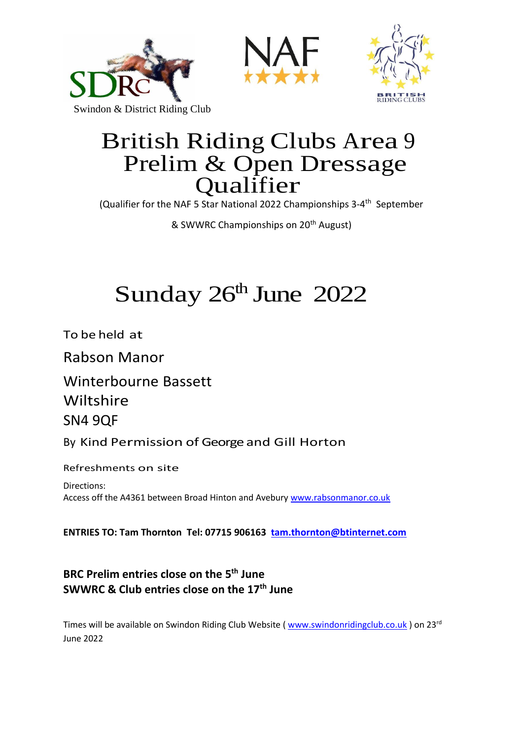





# British Riding Clubs Area <sup>9</sup> Prelim & Open Dressage Qualifier

(Qualifier for the NAF 5 Star National 2022 Championships 3-4<sup>th</sup> September

& SWWRC Championships on 20<sup>th</sup> August)

# Sunday  $26<sup>th</sup>$  June  $2022$

To be held at

Rabson Manor

Winterbourne Bassett Wiltshire SN4 9QF

By Kind Permission of George and Gill Horton

Refreshments on site

Directions: Access off the A4361 between Broad Hinton and Avebury [www.rabsonmanor.co.uk](http://www.rabsonmanor.co.uk/)

**ENTRIES TO: Tam Thornton Tel: 07715 906163 [tam.thornton@btinternet.com](mailto:tam.thornton@btinternet.com)**

## **BRC Prelim entries close on the 5 th June SWWRC & Club entries close on the 17 th June**

Times will be available on Swindon Riding Club Website ( [www.swindonridingclub.co.uk](http://www.swindonridingclub.co.uk/) ) on 23<sup>rd</sup> June 2022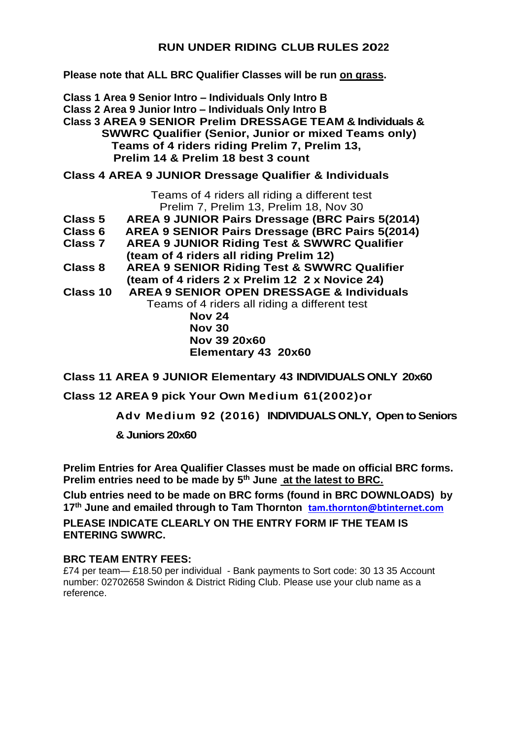#### **RUN UNDER RIDING CLUB RULES 2022**

**Please note that ALL BRC Qualifier Classes will be run on grass.**

**Class 1 Area 9 Senior Intro – Individuals Only Intro B Class 2 Area 9 Junior Intro – Individuals Only Intro B Class 3 AREA 9 SENIOR Prelim DRESSAGE TEAM & Individuals & SWWRC Qualifier (Senior, Junior or mixed Teams only) Teams of 4 riders riding Prelim 7, Prelim 13, Prelim 14 & Prelim 18 best 3 count**

#### **Class 4 AREA 9 JUNIOR Dressage Qualifier & Individuals**

Teams of 4 riders all riding a different test Prelim 7, Prelim 13, Prelim 18, Nov 30

- **Class 5 AREA 9 JUNIOR Pairs Dressage (BRC Pairs 5(2014)**
- **Class 6 AREA 9 SENIOR Pairs Dressage (BRC Pairs 5(2014)**
- **Class 7 AREA 9 JUNIOR Riding Test & SWWRC Qualifier**
- **(team of 4 riders all riding Prelim 12)**
- **Class 8 AREA 9 SENIOR Riding Test & SWWRC Qualifier (team of 4 riders 2 x Prelim 12 2 x Novice 24)**
- **Class 10 AREA 9 SENIOR OPEN DRESSAGE & Individuals**

 Teams of 4 riders all riding a different test **Nov 24 Nov 30 Nov 39 20x60 Elementary 43 20x60**

**Class 11 AREA 9 JUNIOR Elementary 43 INDIVIDUALS ONLY 20x60**

**Class 12 AREA 9 pick Your Own Medium 61(2002)or** 

**Adv Medium 92 (2016) INDIVIDUALS ONLY, Open to Seniors** 

**& Juniors 20x60**

**Prelim Entries for Area Qualifier Classes must be made on official BRC forms. Prelim entries need to be made by 5 th June at the latest to BRC.**

**Club entries need to be made on BRC forms (found in BRC DOWNLOADS) by 17 th June and emailed through to Tam Thornton [tam.thornton@btinternet.com](mailto:tam.thornton@btinternet.com) PLEASE INDICATE CLEARLY ON THE ENTRY FORM IF THE TEAM IS ENTERING SWWRC.**

#### **BRC TEAM ENTRY FEES:**

£74 per team— £18.50 per individual - Bank payments to Sort code: 30 13 35 Account number: 02702658 Swindon & District Riding Club. Please use your club name as a reference.